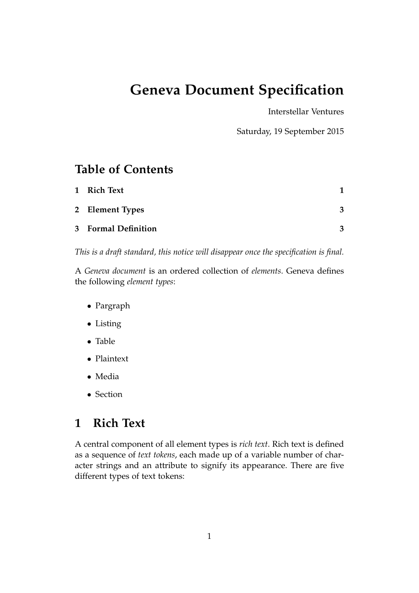# **Geneva Document Specification**

Interstellar Ventures

Saturday, 19 September 2015

## **Table of Contents**

| 1 Rich Text                |   |
|----------------------------|---|
| 2 Element Types            | 3 |
| <b>3</b> Formal Definition | 2 |

*This is a draft standard, this notice will disappear once the specification is final.*

A *Geneva document* is an ordered collection of *elements*. Geneva defines the following *element types*:

- Pargraph
- Listing
- Table
- Plaintext
- Media
- Section

## **1 Rich Text**

A central component of all element types is *rich text*. Rich text is defined as a sequence of *text tokens*, each made up of a variable number of character strings and an attribute to signify its appearance. There are five different types of text tokens: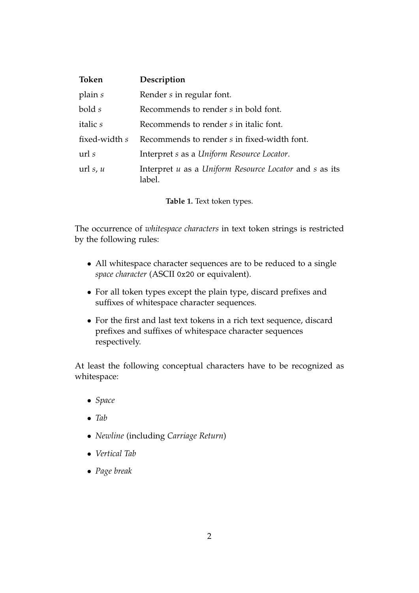| <b>Token</b>    | Description                                                      |
|-----------------|------------------------------------------------------------------|
| plain s         | Render s in regular font.                                        |
| bold s          | Recommends to render s in bold font.                             |
| <i>italic s</i> | Recommends to render s in italic font.                           |
| fixed-width s   | Recommends to render s in fixed-width font.                      |
| $\text{url } s$ | Interpret s as a Uniform Resource Locator.                       |
| url $s, u$      | Interpret u as a Uniform Resource Locator and s as its<br>label. |

**Table 1.** Text token types.

The occurrence of *whitespace characters* in text token strings is restricted by the following rules:

- All whitespace character sequences are to be reduced to a single *space character* (ASCII 0x20 or equivalent).
- For all token types except the plain type, discard prefixes and suffixes of whitespace character sequences.
- For the first and last text tokens in a rich text sequence, discard prefixes and suffixes of whitespace character sequences respectively.

At least the following conceptual characters have to be recognized as whitespace:

- *Space*
- *Tab*
- *Newline* (including *Carriage Return*)
- *Vertical Tab*
- *Page break*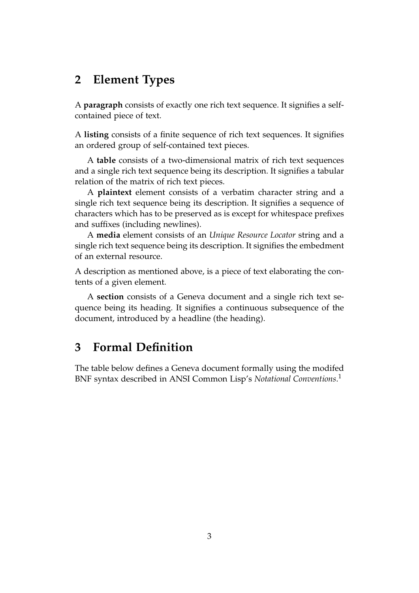#### **2 Element Types**

A **paragraph** consists of exactly one rich text sequence. It signifies a selfcontained piece of text.

A **listing** consists of a finite sequence of rich text sequences. It signifies an ordered group of self-contained text pieces.

A **table** consists of a two-dimensional matrix of rich text sequences and a single rich text sequence being its description. It signifies a tabular relation of the matrix of rich text pieces.

A **plaintext** element consists of a verbatim character string and a single rich text sequence being its description. It signifies a sequence of characters which has to be preserved as is except for whitespace prefixes and suffixes (including newlines).

A **media** element consists of an *Unique Resource Locator* string and a single rich text sequence being its description. It signifies the embedment of an external resource.

A description as mentioned above, is a piece of text elaborating the contents of a given element.

A **section** consists of a Geneva document and a single rich text sequence being its heading. It signifies a continuous subsequence of the document, introduced by a headline (the heading).

#### **3 Formal Definition**

The table below defines a Geneva document formally using the modifed BNF syntax described in ANSI Common Lisp's *Notational Conventions*. 1